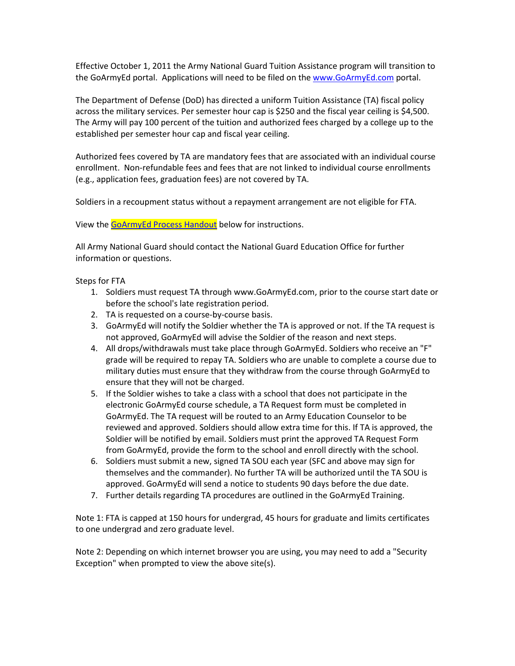Effective October 1, 2011 the Army National Guard Tuition Assistance program will transition to the GoArmyEd portal. Applications will need to be filed on the www.GoArmyEd.com portal.

The Department of Defense (DoD) has directed a uniform Tuition Assistance (TA) fiscal policy across the military services. Per semester hour cap is \$250 and the fiscal year ceiling is \$4,500. The Army will pay 100 percent of the tuition and authorized fees charged by a college up to the established per semester hour cap and fiscal year ceiling.

Authorized fees covered by TA are mandatory fees that are associated with an individual course enrollment. Non-refundable fees and fees that are not linked to individual course enrollments (e.g., application fees, graduation fees) are not covered by TA.

Soldiers in a recoupment status without a repayment arrangement are not eligible for FTA.

View the **GoArmyEd Process Handout** below for instructions.

All Army National Guard should contact the National Guard Education Office for further information or questions.

#### Steps for FTA

- 1. Soldiers must request TA through www.GoArmyEd.com, prior to the course start date or before the school's late registration period.
- 2. TA is requested on a course-by-course basis.
- 3. GoArmyEd will notify the Soldier whether the TA is approved or not. If the TA request is not approved, GoArmyEd will advise the Soldier of the reason and next steps.
- 4. All drops/withdrawals must take place through GoArmyEd. Soldiers who receive an "F" grade will be required to repay TA. Soldiers who are unable to complete a course due to military duties must ensure that they withdraw from the course through GoArmyEd to ensure that they will not be charged.
- 5. If the Soldier wishes to take a class with a school that does not participate in the electronic GoArmyEd course schedule, a TA Request form must be completed in GoArmyEd. The TA request will be routed to an Army Education Counselor to be reviewed and approved. Soldiers should allow extra time for this. If TA is approved, the Soldier will be notified by email. Soldiers must print the approved TA Request Form from GoArmyEd, provide the form to the school and enroll directly with the school.
- 6. Soldiers must submit a new, signed TA SOU each year (SFC and above may sign for themselves and the commander). No further TA will be authorized until the TA SOU is approved. GoArmyEd will send a notice to students 90 days before the due date.
- 7. Further details regarding TA procedures are outlined in the GoArmyEd Training.

Note 1: FTA is capped at 150 hours for undergrad, 45 hours for graduate and limits certificates to one undergrad and zero graduate level.

Note 2: Depending on which internet browser you are using, you may need to add a "Security Exception" when prompted to view the above site(s).